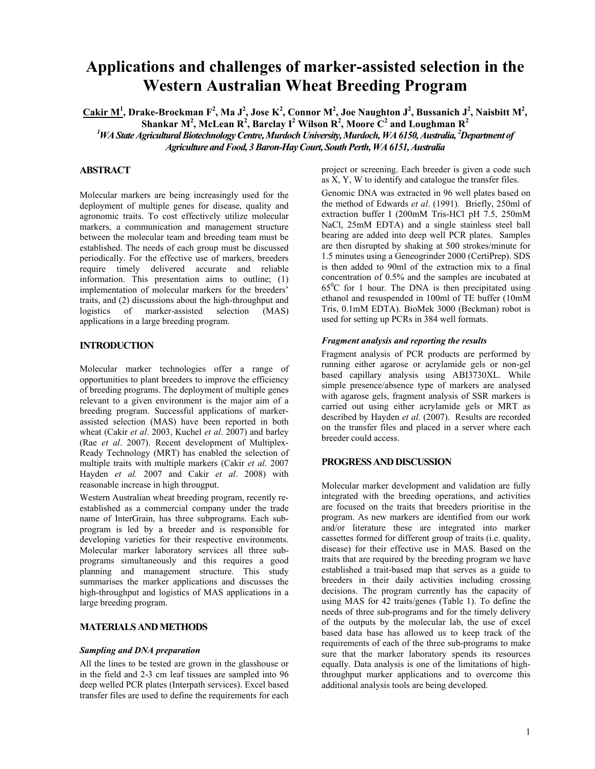# **Applications and challenges of marker-assisted selection in the Western Australian Wheat Breeding Program**

 $C$ akir M<sup>1</sup>, Drake-Brockman F<sup>2</sup>, Ma J<sup>2</sup>, Jose K<sup>2</sup>, Connor M<sup>2</sup>, Joe Naughton J<sup>2</sup>, Bussanich J<sup>2</sup>, Naisbitt M<sup>2</sup>,

 $\mathbf{S}$ hankar M<sup>2</sup>, McLean R<sup>2</sup>, Barclay I<sup>2</sup> Wilson R<sup>2</sup>, Moore  $\mathbf{C}^2$  and Loughman R<sup>2</sup>

*1 WA State Agricultural Biotechnology Centre,Murdoch University, Murdoch, WA 6150, Australia, 2 Department of Agriculture and Food, 3 Baron-Hay Court, South Perth, WA 6151, Australia* 

# **ABSTRACT**

Molecular markers are being increasingly used for the deployment of multiple genes for disease, quality and agronomic traits. To cost effectively utilize molecular markers, a communication and management structure between the molecular team and breeding team must be established. The needs of each group must be discussed periodically. For the effective use of markers, breeders require timely delivered accurate and reliable information. This presentation aims to outline; (1) implementation of molecular markers for the breeders' traits, and (2) discussions about the high-throughput and logistics of marker-assisted selection (MAS) applications in a large breeding program.

## **INTRODUCTION**

Molecular marker technologies offer a range of opportunities to plant breeders to improve the efficiency of breeding programs. The deployment of multiple genes relevant to a given environment is the major aim of a breeding program. Successful applications of markerassisted selection (MAS) have been reported in both wheat (Cakir *et al*. 2003, Kuchel *et al*. 2007) and barley (Rae *et al*. 2007). Recent development of Multiplex-Ready Technology (MRT) has enabled the selection of multiple traits with multiple markers (Cakir *et al*. 2007 Hayden *et al.* 2007 and Cakir *et al*. 2008) with reasonable increase in high througput.

Western Australian wheat breeding program, recently reestablished as a commercial company under the trade name of InterGrain, has three subprograms. Each subprogram is led by a breeder and is responsible for developing varieties for their respective environments. Molecular marker laboratory services all three subprograms simultaneously and this requires a good planning and management structure. This study summarises the marker applications and discusses the high-throughput and logistics of MAS applications in a large breeding program.

## **MATERIALS AND METHODS**

#### *Sampling and DNA preparation*

All the lines to be tested are grown in the glasshouse or in the field and 2-3 cm leaf tissues are sampled into 96 deep welled PCR plates (Interpath services). Excel based transfer files are used to define the requirements for each project or screening. Each breeder is given a code such as X, Y, W to identify and catalogue the transfer files.

Genomic DNA was extracted in 96 well plates based on the method of Edwards *et al*. (1991). Briefly, 250ml of extraction buffer I (200mM Tris-HCl pH 7.5, 250mM NaCl, 25mM EDTA) and a single stainless steel ball bearing are added into deep well PCR plates. Samples are then disrupted by shaking at 500 strokes/minute for 1.5 minutes using a Geneogrinder 2000 (CertiPrep). SDS is then added to 90ml of the extraction mix to a final concentration of 0.5% and the samples are incubated at  $65^{\circ}$ C for 1 hour. The DNA is then precipitated using ethanol and resuspended in 100ml of TE buffer (10mM Tris, 0.1mM EDTA). BioMek 3000 (Beckman) robot is used for setting up PCRs in 384 well formats.

#### *Fragment analysis and reporting the results*

Fragment analysis of PCR products are performed by running either agarose or acrylamide gels or non-gel based capillary analysis using ABI3730XL. While simple presence/absence type of markers are analysed with agarose gels, fragment analysis of SSR markers is carried out using either acrylamide gels or MRT as described by Hayden et al. (2007). Results are recorded on the transfer files and placed in a server where each breeder could access.

#### **PROGRESS AND DISCUSSION**

Molecular marker development and validation are fully integrated with the breeding operations, and activities are focused on the traits that breeders prioritise in the program. As new markers are identified from our work and/or literature these are integrated into marker cassettes formed for different group of traits (i.e. quality, disease) for their effective use in MAS. Based on the traits that are required by the breeding program we have established a trait-based map that serves as a guide to breeders in their daily activities including crossing decisions. The program currently has the capacity of using MAS for 42 traits/genes (Table 1). To define the needs of three sub-programs and for the timely delivery of the outputs by the molecular lab, the use of excel based data base has allowed us to keep track of the requirements of each of the three sub-programs to make sure that the marker laboratory spends its resources equally. Data analysis is one of the limitations of highthroughput marker applications and to overcome this additional analysis tools are being developed.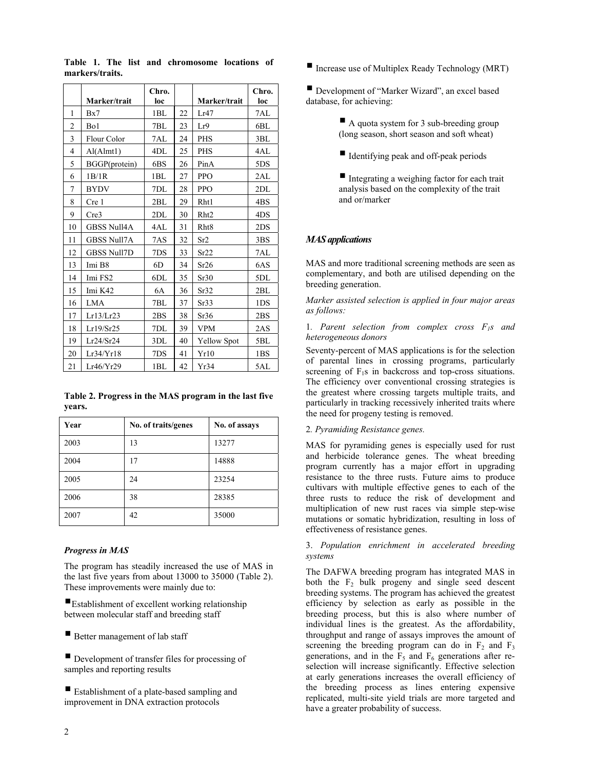|    | Marker/trait       | Chro.<br>loc |    | Marker/trait       | Chro.<br>loc    |
|----|--------------------|--------------|----|--------------------|-----------------|
| 1  | Bx7                | 1BL          | 22 | Lr47               | 7AL             |
| 2  | Bo1                | 7BL          | 23 | Lr9                | 6BL             |
| 3  | Flour Color        | 7AL          | 24 | <b>PHS</b>         | 3BL             |
| 4  | Al(Almt1)          | 4DL          | 25 | <b>PHS</b>         | 4AL             |
| 5  | BGGP(protein)      | 6BS          | 26 | PinA               | 5DS             |
| 6  | 1B/1R              | 1BL          | 27 | PPO                | 2AL             |
| 7  | <b>BYDV</b>        | 7DL          | 28 | <b>PPO</b>         | 2DL             |
| 8  | Cre 1              | 2BL          | 29 | Rht1               | 4BS             |
| 9  | Cre3               | 2DL          | 30 | Rht <sub>2</sub>   | 4DS             |
| 10 | <b>GBSS Null4A</b> | 4AL          | 31 | Rht8               | 2DS             |
| 11 | <b>GBSS Null7A</b> | 7AS          | 32 | Sr2                | 3 <sub>BS</sub> |
| 12 | <b>GBSS Null7D</b> | 7DS          | 33 | Sr22               | 7AL             |
| 13 | Imi B8             | 6D           | 34 | Sr26               | 6AS             |
| 14 | Imi FS2            | 6DL          | 35 | Sr30               | 5DL             |
| 15 | Imi K42            | 6A           | 36 | Sr32               | 2BL             |
| 16 | <b>LMA</b>         | 7BL          | 37 | Sr33               | 1DS             |
| 17 | Lr13/Lr23          | 2BS          | 38 | Sr36               | 2BS             |
| 18 | Lr19/Sr25          | 7DL          | 39 | <b>VPM</b>         | 2AS             |
| 19 | Lr24/Sr24          | 3DL          | 40 | <b>Yellow Spot</b> | 5BL             |
| 20 | Lr34/Yr18          | 7DS          | 41 | Yr10               | 1 <sub>BS</sub> |
| 21 | Lr46/Yr29          | 1BL          | 42 | Yr34               | 5AL             |

**Table 1. The list and chromosome locations of markers/traits.**

|        |  | Table 2. Progress in the MAS program in the last five |  |
|--------|--|-------------------------------------------------------|--|
| years. |  |                                                       |  |

| Year | No. of traits/genes | No. of assays |
|------|---------------------|---------------|
| 2003 | 13                  | 13277         |
| 2004 | 17                  | 14888         |
| 2005 | 24                  | 23254         |
| 2006 | 38                  | 28385         |
| 2007 | 42                  | 35000         |

## *Progress in MAS*

The program has steadily increased the use of MAS in the last five years from about 13000 to 35000 (Table 2). These improvements were mainly due to:

Establishment of excellent working relationship between molecular staff and breeding staff

Better management of lab staff

Development of transfer files for processing of samples and reporting results

Establishment of a plate-based sampling and improvement in DNA extraction protocols

Increase use of Multiplex Ready Technology (MRT)

Development of "Marker Wizard", an excel based database, for achieving:

- A quota system for 3 sub-breeding group (long season, short season and soft wheat)
- I dentifying peak and off-peak periods

 $\blacksquare$  Integrating a weighing factor for each trait analysis based on the complexity of the trait and or/marker

# *MAS applications*

MAS and more traditional screening methods are seen as complementary, and both are utilised depending on the breeding generation.

*Marker assisted selection is applied in four major areas as follows:* 

1*. Parent selection from complex cross F1s and heterogeneous donors* 

Seventy-percent of MAS applications is for the selection of parental lines in crossing programs, particularly screening of  $F_1$ s in backcross and top-cross situations. The efficiency over conventional crossing strategies is the greatest where crossing targets multiple traits, and particularly in tracking recessively inherited traits where the need for progeny testing is removed.

#### 2*. Pyramiding Resistance genes.*

MAS for pyramiding genes is especially used for rust and herbicide tolerance genes. The wheat breeding program currently has a major effort in upgrading resistance to the three rusts. Future aims to produce cultivars with multiple effective genes to each of the three rusts to reduce the risk of development and multiplication of new rust races via simple step-wise mutations or somatic hybridization, resulting in loss of effectiveness of resistance genes.

3. *Population enrichment in accelerated breeding systems*

The DAFWA breeding program has integrated MAS in both the  $F<sub>2</sub>$  bulk progeny and single seed descent breeding systems. The program has achieved the greatest efficiency by selection as early as possible in the breeding process, but this is also where number of individual lines is the greatest. As the affordability, throughput and range of assays improves the amount of screening the breeding program can do in  $F_2$  and  $F_3$ generations, and in the  $\overline{F_5}$  and  $\overline{F_6}$  generations after reselection will increase significantly. Effective selection at early generations increases the overall efficiency of the breeding process as lines entering expensive replicated, multi-site yield trials are more targeted and have a greater probability of success.